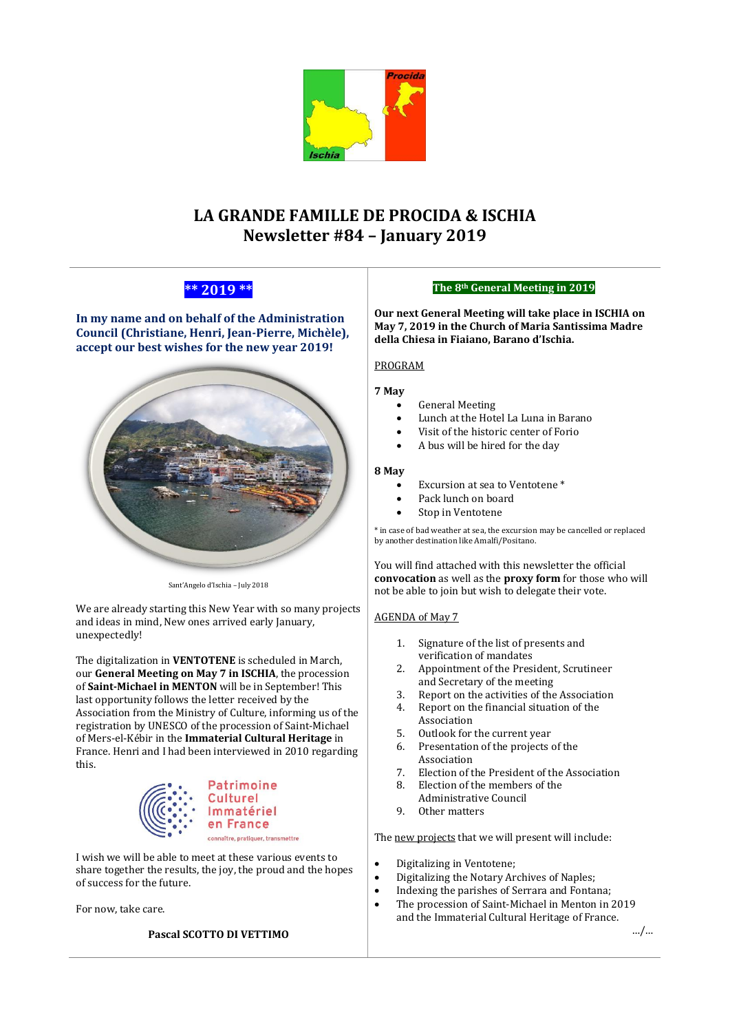

# **LA GRANDE FAMILLE DE PROCIDA & ISCHIA Newsletter #84 – January 2019**

## **\*\* 2019 \*\***

**In my name and on behalf of the Administration Council (Christiane, Henri, Jean-Pierre, Michèle), accept our best wishes for the new year 2019!**



Sant'Angelo d'Ischia – July 2018

We are already starting this New Year with so many projects and ideas in mind, New ones arrived early January, unexpectedly!

The digitalization in **VENTOTENE** is scheduled in March, our **General Meeting on May 7 in ISCHIA**, the procession of **Saint-Michael in MENTON** will be in September! This last opportunity follows the letter received by the Association from the Ministry of Culture, informing us of the registration by UNESCO of the procession of Saint-Michael of Mers-el-Kébir in the **Immaterial Cultural Heritage** in France. Henri and I had been interviewed in 2010 regarding this.



I wish we will be able to meet at these various events to share together the results, the joy, the proud and the hopes of success for the future.

For now, take care.

## **Pascal SCOTTO DI VETTIMO**

## **The 8th General Meeting in 2019**

**Our next General Meeting will take place in ISCHIA on May 7, 2019 in the Church of Maria Santissima Madre della Chiesa in Fiaiano, Barano d'Ischia.**

## PROGRAM

## **7 May**

- General Meeting
- Lunch at the Hotel La Luna in Barano
- Visit of the historic center of Forio
- A bus will be hired for the day

## **8 May**

- Excursion at sea to Ventotene<sup>\*</sup>
- Pack lunch on board
- Stop in Ventotene

\* in case of bad weather at sea, the excursion may be cancelled or replaced by another destination like Amalfi/Positano.

You will find attached with this newsletter the official **convocation** as well as the **proxy form** for those who will not be able to join but wish to delegate their vote.

## AGENDA of May 7

- 1. Signature of the list of presents and verification of mandates
- 2. Appointment of the President, Scrutineer and Secretary of the meeting
- 3. Report on the activities of the Association
- 4. Report on the financial situation of the Association
- 5. Outlook for the current year
- 6. Presentation of the projects of the Association
- 7. Election of the President of the Association
- 8. Election of the members of the
- Administrative Council
- 9. Other matters

The new projects that we will present will include:

- Digitalizing in Ventotene;
- Digitalizing the Notary Archives of Naples;
- Indexing the parishes of Serrara and Fontana;
- The procession of Saint-Michael in Menton in 2019 and the Immaterial Cultural Heritage of France.

…/…